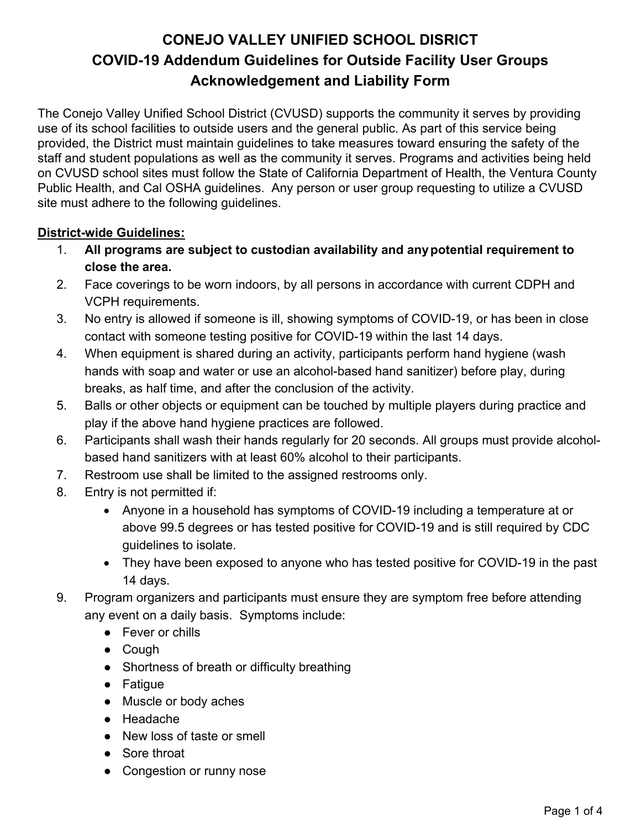# **CONEJO VALLEY UNIFIED SCHOOL DISRICT COVID-19 Addendum Guidelines for Outside Facility User Groups Acknowledgement and Liability Form**

The Conejo Valley Unified School District (CVUSD) supports the community it serves by providing use of its school facilities to outside users and the general public. As part of this service being provided, the District must maintain guidelines to take measures toward ensuring the safety of the staff and student populations as well as the community it serves. Programs and activities being held on CVUSD school sites must follow the State of California Department of Health, the Ventura County Public Health, and Cal OSHA guidelines. Any person or user group requesting to utilize a CVUSD site must adhere to the following guidelines.

#### **District-wide Guidelines:**

- 1. **All programs are subject to custodian availability and anypotential requirement to close the area.**
- 2. Face coverings to be worn indoors, by all persons in accordance with current CDPH and VCPH requirements.
- 3. No entry is allowed if someone is ill, showing symptoms of COVID-19, or has been in close contact with someone testing positive for COVID-19 within the last 14 days.
- 4. When equipment is shared during an activity, participants perform hand hygiene (wash hands with soap and water or use an alcohol-based hand sanitizer) before play, during breaks, as half time, and after the conclusion of the activity.
- 5. Balls or other objects or equipment can be touched by multiple players during practice and play if the above hand hygiene practices are followed.
- 6. Participants shall wash their hands regularly for 20 seconds. All groups must provide alcoholbased hand sanitizers with at least 60% alcohol to their participants.
- 7. Restroom use shall be limited to the assigned restrooms only.
- 8. Entry is not permitted if:
	- Anyone in a household has symptoms of COVID-19 including a temperature at or above 99.5 degrees or has tested positive for COVID-19 and is still required by CDC guidelines to isolate.
	- They have been exposed to anyone who has tested positive for COVID-19 in the past 14 days.
- 9. Program organizers and participants must ensure they are symptom free before attending any event on a daily basis. Symptoms include:
	- Fever or chills
	- Cough
	- Shortness of breath or difficulty breathing
	- Fatigue
	- Muscle or body aches
	- Headache
	- New loss of taste or smell
	- Sore throat
	- Congestion or runny nose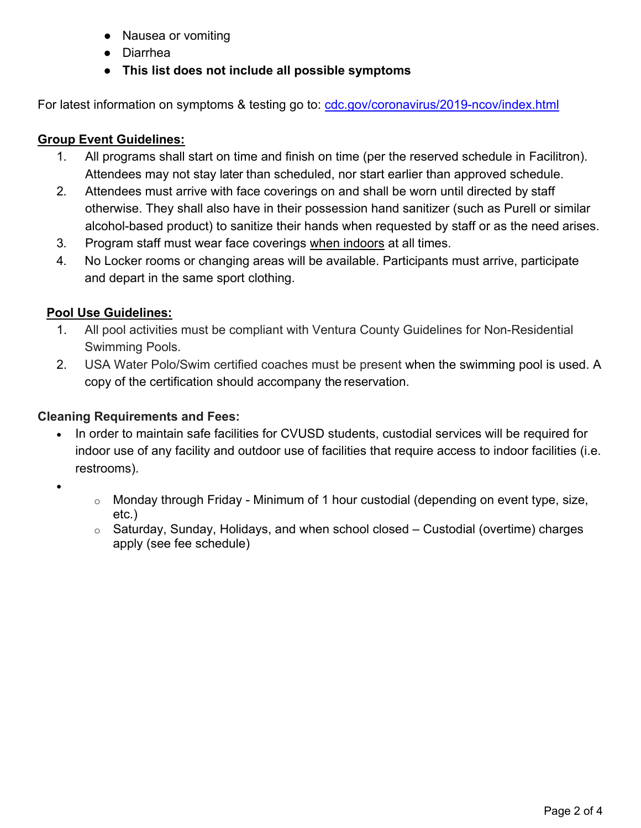- Nausea or vomiting
- Diarrhea
- **● This list does not include all possible symptoms**

For latest information on symptoms & testing go to: [cdc.gov/coronavirus/2019-ncov/index.html](https://www.cdc.gov/coronavirus/2019-ncov/index.html)

#### **Group Event Guidelines:**

- 1. All programs shall start on time and finish on time (per the reserved schedule in Facilitron). Attendees may not stay later than scheduled, nor start earlier than approved schedule.
- 2. Attendees must arrive with face coverings on and shall be worn until directed by staff otherwise. They shall also have in their possession hand sanitizer (such as Purell or similar alcohol-based product) to sanitize their hands when requested by staff or as the need arises.
- 3. Program staff must wear face coverings when indoors at all times.
- 4. No Locker rooms or changing areas will be available. Participants must arrive, participate and depart in the same sport clothing.

### **Pool Use Guidelines:**

- 1. All pool activities must be compliant with Ventura County Guidelines for Non-Residential Swimming Pools.
- 2. USA Water Polo/Swim certified coaches must be present when the swimming pool is used. A copy of the certification should accompany the reservation.

### **Cleaning Requirements and Fees:**

- In order to maintain safe facilities for CVUSD students, custodial services will be required for indoor use of any facility and outdoor use of facilities that require access to indoor facilities (i.e. restrooms).
- •
- o Monday through Friday Minimum of 1 hour custodial (depending on event type, size, etc.)
- $\circ$  Saturday, Sunday, Holidays, and when school closed Custodial (overtime) charges apply (see fee schedule)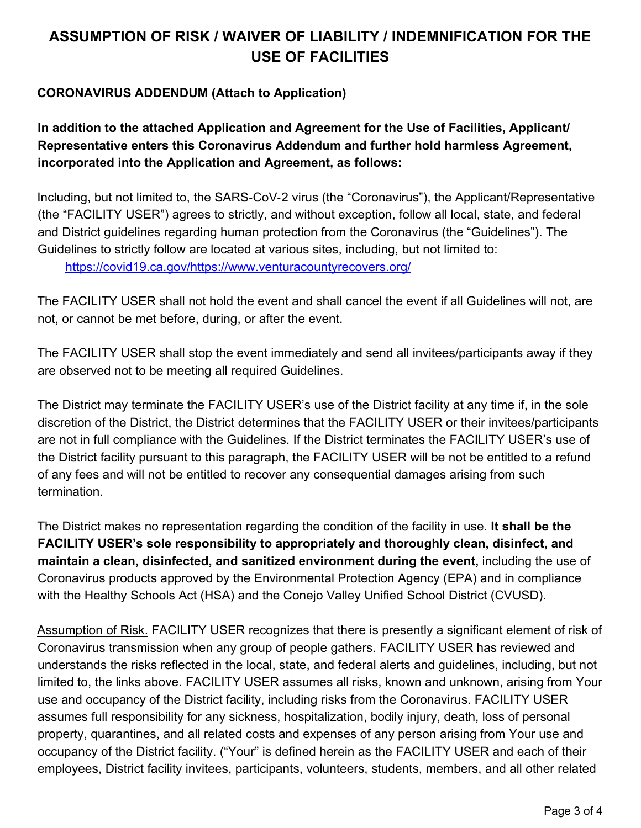# **ASSUMPTION OF RISK / WAIVER OF LIABILITY / INDEMNIFICATION FOR THE USE OF FACILITIES**

#### **CORONAVIRUS ADDENDUM (Attach to Application)**

**In addition to the attached Application and Agreement for the Use of Facilities, Applicant/ Representative enters this Coronavirus Addendum and further hold harmless Agreement, incorporated into the Application and Agreement, as follows:**

Including, but not limited to, the SARS‑CoV‑2 virus (the "Coronavirus"), the Applicant/Representative (the "FACILITY USER") agrees to strictly, and without exception, follow all local, state, and federal and District guidelines regarding human protection from the Coronavirus (the "Guidelines"). The Guidelines to strictly follow are located at various sites, including, but not limited to: [https://covid19.ca.gov/https://www.venturacountyrecovers.org/](https://covid19.ca.gov/)

The FACILITY USER shall not hold the event and shall cancel the event if all Guidelines will not, are not, or cannot be met before, during, or after the event.

The FACILITY USER shall stop the event immediately and send all invitees/participants away if they are observed not to be meeting all required Guidelines.

The District may terminate the FACILITY USER's use of the District facility at any time if, in the sole discretion of the District, the District determines that the FACILITY USER or their invitees/participants are not in full compliance with the Guidelines. If the District terminates the FACILITY USER's use of the District facility pursuant to this paragraph, the FACILITY USER will be not be entitled to a refund of any fees and will not be entitled to recover any consequential damages arising from such termination.

The District makes no representation regarding the condition of the facility in use. **It shall be the FACILITY USER's sole responsibility to appropriately and thoroughly clean, disinfect, and maintain a clean, disinfected, and sanitized environment during the event,** including the use of Coronavirus products approved by the Environmental Protection Agency (EPA) and in compliance with the Healthy Schools Act (HSA) and the Conejo Valley Unified School District (CVUSD).

Assumption of Risk. FACILITY USER recognizes that there is presently a significant element of risk of Coronavirus transmission when any group of people gathers. FACILITY USER has reviewed and understands the risks reflected in the local, state, and federal alerts and guidelines, including, but not limited to, the links above. FACILITY USER assumes all risks, known and unknown, arising from Your use and occupancy of the District facility, including risks from the Coronavirus. FACILITY USER assumes full responsibility for any sickness, hospitalization, bodily injury, death, loss of personal property, quarantines, and all related costs and expenses of any person arising from Your use and occupancy of the District facility. ("Your" is defined herein as the FACILITY USER and each of their employees, District facility invitees, participants, volunteers, students, members, and all other related